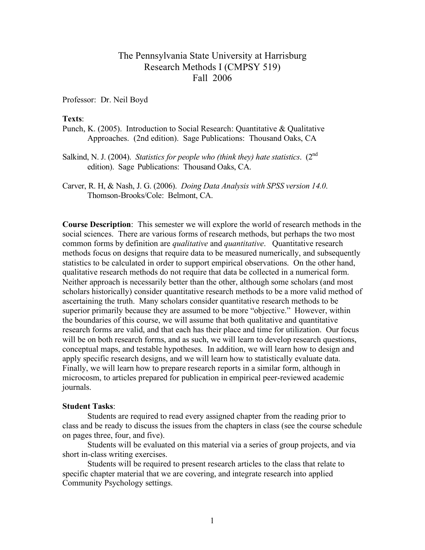## The Pennsylvania State University at Harrisburg Research Methods I (CMPSY 519) Fall 2006

Professor: Dr. Neil Boyd

#### **Texts**:

- Punch, K. (2005). Introduction to Social Research: Quantitative & Qualitative Approaches. (2nd edition). Sage Publications: Thousand Oaks, CA
- Salkind, N. J. (2004). *Statistics for people who (think they) hate statistics*. (2nd edition). Sage Publications: Thousand Oaks, CA.
- Carver, R. H, & Nash, J. G. (2006). *Doing Data Analysis with SPSS version 14.0*. Thomson-Brooks/Cole: Belmont, CA.

**Course Description**: This semester we will explore the world of research methods in the social sciences. There are various forms of research methods, but perhaps the two most common forms by definition are *qualitative* and *quantitative*. Quantitative research methods focus on designs that require data to be measured numerically, and subsequently statistics to be calculated in order to support empirical observations. On the other hand, qualitative research methods do not require that data be collected in a numerical form. Neither approach is necessarily better than the other, although some scholars (and most scholars historically) consider quantitative research methods to be a more valid method of ascertaining the truth. Many scholars consider quantitative research methods to be superior primarily because they are assumed to be more "objective." However, within the boundaries of this course, we will assume that both qualitative and quantitative research forms are valid, and that each has their place and time for utilization. Our focus will be on both research forms, and as such, we will learn to develop research questions, conceptual maps, and testable hypotheses. In addition, we will learn how to design and apply specific research designs, and we will learn how to statistically evaluate data. Finally, we will learn how to prepare research reports in a similar form, although in microcosm, to articles prepared for publication in empirical peer-reviewed academic journals.

#### **Student Tasks**:

Students are required to read every assigned chapter from the reading prior to class and be ready to discuss the issues from the chapters in class (see the course schedule on pages three, four, and five).

Students will be evaluated on this material via a series of group projects, and via short in-class writing exercises.

Students will be required to present research articles to the class that relate to specific chapter material that we are covering, and integrate research into applied Community Psychology settings.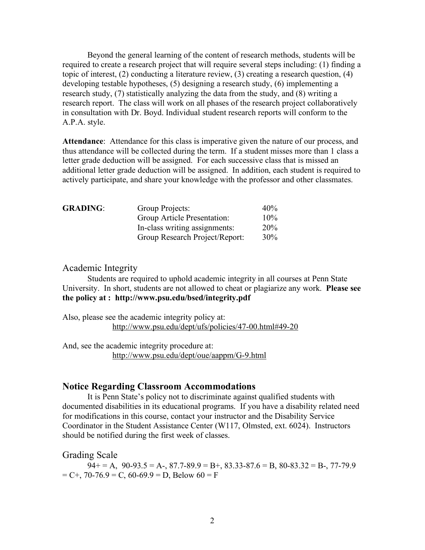Beyond the general learning of the content of research methods, students will be required to create a research project that will require several steps including: (1) finding a topic of interest, (2) conducting a literature review, (3) creating a research question, (4) developing testable hypotheses, (5) designing a research study, (6) implementing a research study, (7) statistically analyzing the data from the study, and (8) writing a research report. The class will work on all phases of the research project collaboratively in consultation with Dr. Boyd. Individual student research reports will conform to the A.P.A. style.

**Attendance**: Attendance for this class is imperative given the nature of our process, and thus attendance will be collected during the term. If a student misses more than 1 class a letter grade deduction will be assigned. For each successive class that is missed an additional letter grade deduction will be assigned. In addition, each student is required to actively participate, and share your knowledge with the professor and other classmates.

| <b>GRADING:</b> | Group Projects:                | $40\%$ |
|-----------------|--------------------------------|--------|
|                 | Group Article Presentation:    | $10\%$ |
|                 | In-class writing assignments:  | 20%    |
|                 | Group Research Project/Report: | $30\%$ |

### Academic Integrity

Students are required to uphold academic integrity in all courses at Penn State University. In short, students are not allowed to cheat or plagiarize any work. **Please see the policy at : http://www.psu.edu/bsed/integrity.pdf**

Also, please see the academic integrity policy at: http://www.psu.edu/dept/ufs/policies/47-00.html#49-20

And, see the academic integrity procedure at: http://www.psu.edu/dept/oue/aappm/G-9.html

## **Notice Regarding Classroom Accommodations**

It is Penn State's policy not to discriminate against qualified students with documented disabilities in its educational programs. If you have a disability related need for modifications in this course, contact your instructor and the Disability Service Coordinator in the Student Assistance Center (W117, Olmsted, ext. 6024). Instructors should be notified during the first week of classes.

Grading Scale

 $94+=A$ ,  $90-93.5=A$ -,  $87.7-89.9=B+$ ,  $83.33-87.6=B$ ,  $80-83.32=B$ -,  $77-79.9$  $= C^{+}$ , 70-76.9 = C, 60-69.9 = D, Below 60 = F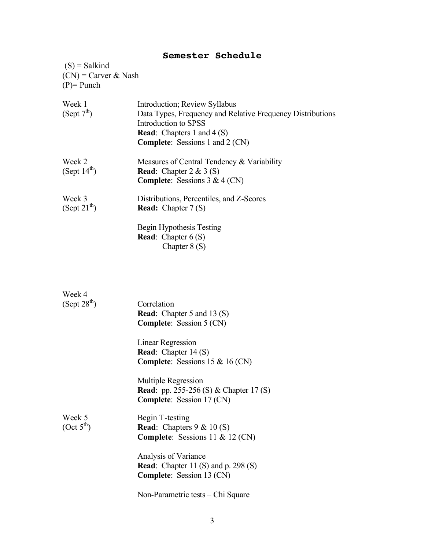# **Semester Schedule**

 $(S)$  = Salkind  $(CN)$  = Carver & Nash  $(P)$ = Punch

| Week 1<br>(Sept 7 <sup>th</sup> ) | Introduction; Review Syllabus<br>Data Types, Frequency and Relative Frequency Distributions<br>Introduction to SPSS<br><b>Read:</b> Chapters 1 and 4 $(S)$<br><b>Complete:</b> Sessions 1 and 2 (CN) |
|-----------------------------------|------------------------------------------------------------------------------------------------------------------------------------------------------------------------------------------------------|
| Week 2<br>(Sept $14^{th}$ )       | Measures of Central Tendency & Variability<br><b>Read:</b> Chapter $2 \& 3 (S)$<br><b>Complete:</b> Sessions $3 & 4$ (CN)                                                                            |
| Week 3<br>(Sept $21^{th}$ )       | Distributions, Percentiles, and Z-Scores<br><b>Read:</b> Chapter $7(S)$<br>Begin Hypothesis Testing<br><b>Read:</b> Chapter $6(S)$<br>Chapter $8(S)$                                                 |

| Week 4<br>(Sept 28 <sup>th</sup> ) | Correlation<br><b>Read:</b> Chapter 5 and 13 (S)<br><b>Complete:</b> Session 5 (CN)                           |
|------------------------------------|---------------------------------------------------------------------------------------------------------------|
|                                    | <b>Linear Regression</b><br><b>Read:</b> Chapter $14(S)$<br><b>Complete:</b> Sessions $15 \& 16 \text{ (CN)}$ |
|                                    | Multiple Regression<br><b>Read</b> : pp. 255-256 (S) & Chapter 17 (S)<br><b>Complete:</b> Session 17 (CN)     |
| Week 5<br>(Oct 5 <sup>th</sup> )   | Begin T-testing<br><b>Read:</b> Chapters $9 < 10$ (S)<br><b>Complete:</b> Sessions 11 & 12 (CN)               |
|                                    | Analysis of Variance<br><b>Read:</b> Chapter 11 (S) and p. 298 (S)<br><b>Complete:</b> Session 13 (CN)        |
|                                    | Non-Parametric tests – Chi Square                                                                             |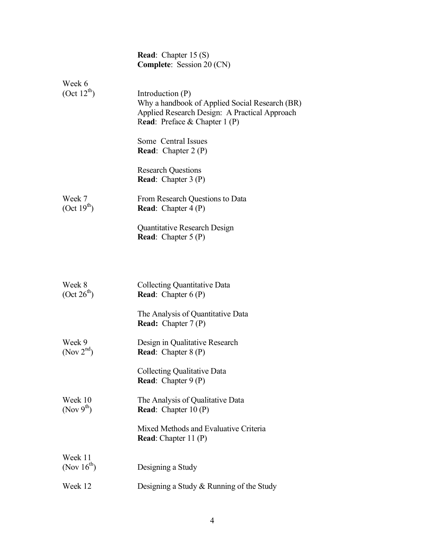|                                        | <b>Read:</b> Chapter $15(S)$<br><b>Complete:</b> Session 20 (CN)                                                                                       |
|----------------------------------------|--------------------------------------------------------------------------------------------------------------------------------------------------------|
| Week 6<br>(Oct 12 <sup>th</sup> )      | Introduction $(P)$<br>Why a handbook of Applied Social Research (BR)<br>Applied Research Design: A Practical Approach<br>Read: Preface & Chapter 1 (P) |
|                                        | Some Central Issues<br><b>Read:</b> Chapter $2(P)$                                                                                                     |
|                                        | <b>Research Questions</b><br><b>Read:</b> Chapter $3(P)$                                                                                               |
| Week 7<br>(Oct 19 <sup>th</sup> )      | From Research Questions to Data<br><b>Read:</b> Chapter $4(P)$                                                                                         |
|                                        | <b>Quantitative Research Design</b><br><b>Read:</b> Chapter $5(P)$                                                                                     |
| Week 8                                 | Collecting Quantitative Data                                                                                                                           |
| (Oct 26 <sup>th</sup> )                | <b>Read:</b> Chapter $6(P)$<br>The Analysis of Quantitative Data<br><b>Read:</b> Chapter $7(P)$                                                        |
| Week 9<br>$($ Nov $2nd)$               | Design in Qualitative Research<br><b>Read:</b> Chapter $8(P)$                                                                                          |
|                                        | <b>Collecting Qualitative Data</b><br><b>Read:</b> Chapter $9(P)$                                                                                      |
| Week 10<br>$($ Nov 9 <sup>th</sup> $)$ | The Analysis of Qualitative Data<br><b>Read:</b> Chapter $10(P)$                                                                                       |
|                                        | Mixed Methods and Evaluative Criteria<br><b>Read:</b> Chapter 11 (P)                                                                                   |
| Week 11<br>(Nov $16^{th}$ )            | Designing a Study                                                                                                                                      |
| Week 12                                | Designing a Study & Running of the Study                                                                                                               |